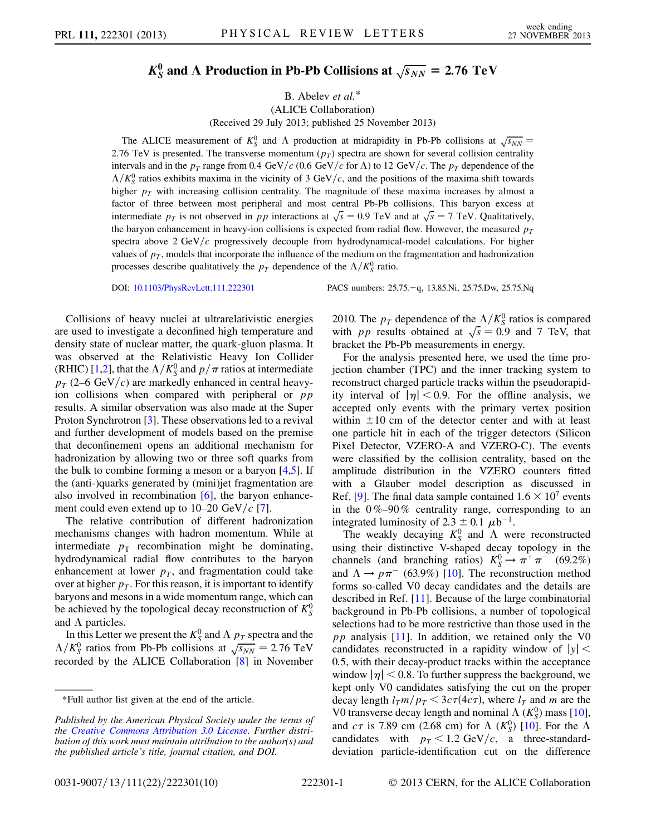## $K^0_S$  and  $\Lambda$  Production in Pb-Pb Collisions at  $\sqrt{s_{NN}} = 2.76 \text{ TeV}$

B. Abelev et al.\*

(ALICE Collaboration)

(Received 29 July 2013; published 25 November 2013)

The ALICE measurement of  $K_S^0$  and  $\Lambda$  production at midrapidity in Pb-Pb collisions at  $\sqrt{s_{NN}}$  = 2.76 TeV is presented. The transverse momentum  $(p_T)$  spectra are shown for several collision centrality intervals and in the  $p_T$  range from 0.4 GeV/c (0.6 GeV/c for  $\Lambda$ ) to 12 GeV/c. The  $p_T$  dependence of the  $\Lambda/K_S^0$  ratios exhibits maxima in the vicinity of 3 GeV/c, and the positions of the maxima shift towards higher  $p<sub>T</sub>$  with increasing collision centrality. The magnitude of these maxima increases by almost a factor of three between most peripheral and most central Pb-Pb collisions. This baryon excess at ractor or three between most peripheral and most central Pb-Pb collisions. This baryon excess at intermediate  $p_T$  is not observed in pp interactions at  $\sqrt{s} = 0.9$  TeV and at  $\sqrt{s} = 7$  TeV. Qualitatively, the baryon enhancement in heavy-ion collisions is expected from radial flow. However, the measured  $p_T$ spectra above  $2 \text{ GeV}/c$  progressively decouple from hydrodynamical-model calculations. For higher values of  $p<sub>T</sub>$ , models that incorporate the influence of the medium on the fragmentation and hadronization processes describe qualitatively the  $p_T$  dependence of the  $\Lambda/K_S^0$  ratio.

Collisions of heavy nuclei at ultrarelativistic energies are used to investigate a deconfined high temperature and density state of nuclear matter, the quark-gluon plasma. It was observed at the Relativistic Heavy Ion Collider (RHIC) [\[1,](#page-4-0)[2](#page-4-1)], that the  $\Lambda/K_S^0$  and  $p/\pi$  ratios at intermediate  $p_T$  (2–6 GeV/c) are markedly enhanced in central heavyion collisions when compared with peripheral or  $pp$ results. A similar observation was also made at the Super Proton Synchrotron [[3\]](#page-4-2). These observations led to a revival and further development of models based on the premise that deconfinement opens an additional mechanism for hadronization by allowing two or three soft quarks from the bulk to combine forming a meson or a baryon  $[4,5]$  $[4,5]$  $[4,5]$  $[4,5]$ . If the (anti-)quarks generated by (mini)jet fragmentation are also involved in recombination  $[6]$  $[6]$ , the baryon enhancement could even extend up to 10–20 GeV/ $c$  [[7\]](#page-4-6).

The relative contribution of different hadronization mechanisms changes with hadron momentum. While at intermediate  $p_T$  recombination might be dominating, hydrodynamical radial flow contributes to the baryon enhancement at lower  $p<sub>T</sub>$ , and fragmentation could take over at higher  $p<sub>T</sub>$ . For this reason, it is important to identify baryons and mesons in a wide momentum range, which can be achieved by the topological decay reconstruction of  $K_S^0$ and  $\Lambda$  particles.

In this Letter we present the  $K_S^0$  and  $\Lambda p_T$  spectra and the In this Letter we present the  $K_S^s$  and  $\Lambda p_T$  spectra and the  $\Lambda/K_S^0$  ratios from Pb-Pb collisions at  $\sqrt{s_{NN}} = 2.76$  TeV recorded by the ALICE Collaboration [[8](#page-4-7)] in November

DOI: [10.1103/PhysRevLett.111.222301](http://dx.doi.org/10.1103/PhysRevLett.111.222301) PACS numbers: 25.75.q, 13.85.Ni, 25.75.Dw, 25.75.Nq

2010. The  $p_T$  dependence of the  $\Lambda/K_S^0$  ratios is compared 2010. The  $p_T$  dependence of the  $\Lambda/K_S^0$  ratios is compared<br>with pp results obtained at  $\sqrt{s} = 0.9$  and 7 TeV, that bracket the Pb-Pb measurements in energy.

For the analysis presented here, we used the time projection chamber (TPC) and the inner tracking system to reconstruct charged particle tracks within the pseudorapidity interval of  $|\eta| < 0.9$ . For the offline analysis, we accepted only events with the primary vertex position within  $\pm 10$  cm of the detector center and with at least one particle hit in each of the trigger detectors (Silicon Pixel Detector, VZERO-A and VZERO-C). The events were classified by the collision centrality, based on the amplitude distribution in the VZERO counters fitted with a Glauber model description as discussed in Ref. [[9](#page-4-8)]. The final data sample contained  $1.6 \times 10^7$  events in the  $0\% - 90\%$  centrality range, corresponding to an integrated luminosity of 2.3  $\pm$  0.1  $\mu$ b<sup>-1</sup>.

The weakly decaying  $K_S^0$  and  $\Lambda$  were reconstructed using their distinctive V-shaped decay topology in the channels (and branching ratios)  $K_S^0 \rightarrow \pi^+ \pi^-$  (69.2%) and  $\Lambda \rightarrow p \pi^-$  (63.9%) [[10](#page-4-9)]. The reconstruction method forms so-called V0 decay candidates and the details are described in Ref. [\[11\]](#page-4-10). Because of the large combinatorial background in Pb-Pb collisions, a number of topological selections had to be more restrictive than those used in the  $pp$  analysis [[11](#page-4-10)]. In addition, we retained only the V0 candidates reconstructed in a rapidity window of  $|y|$  < 0:5, with their decay-product tracks within the acceptance window  $|\eta|$  < 0.8. To further suppress the background, we kept only V0 candidates satisfying the cut on the proper decay length  $l_T m/p_T < 3c\tau (4c\tau)$ , where  $l_T$  and m are the V0 transverse decay length and nominal  $\Lambda$  ( $K_S^0$ ) mass [[10\]](#page-4-9), and  $c\tau$  is 7.89 cm (2.68 cm) for  $\Lambda$  ( $K_S^0$ ) [[10](#page-4-9)]. For the  $\Lambda$ candidates with  $p_T < 1.2$  GeV/c, a three-standarddeviation particle-identification cut on the difference

<sup>\*</sup>Full author list given at the end of the article.

Published by the American Physical Society under the terms of the [Creative Commons Attribution 3.0 License.](http://creativecommons.org/licenses/by/3.0/) Further distribution of this work must maintain attribution to the author(s) and the published article's title, journal citation, and DOI.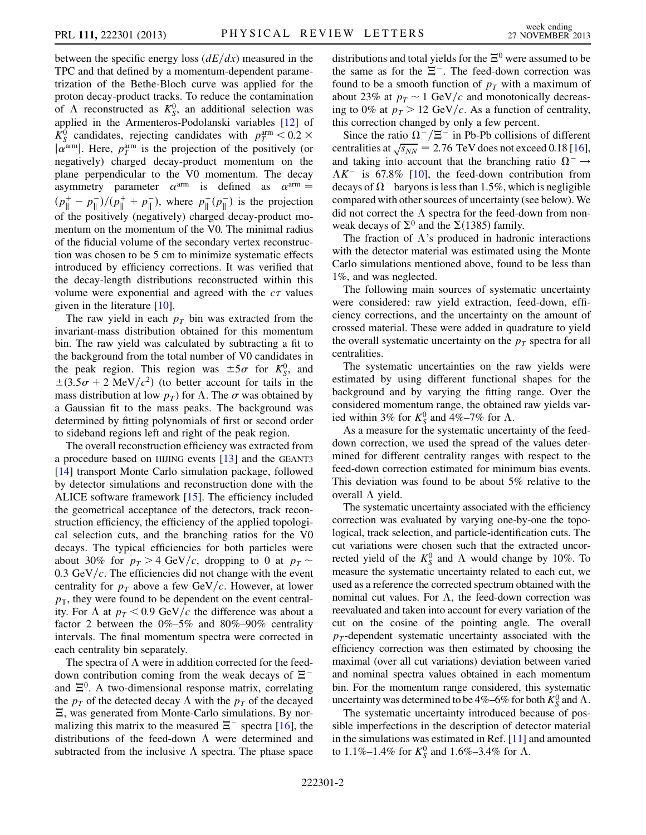between the specific energy loss  $\left(\frac{dE}{dx}\right)$  measured in the TPC and that defined by a momentum-dependent parametrization of the Bethe-Bloch curve was applied for the proton decay-product tracks. To reduce the contamination of  $\Lambda$  reconstructed as  $K_S^0$ , an additional selection was applied in the Armenteros-Podolanski variables [\[12\]](#page-4-11) of  $\overline{K_S^0}$  candidates, rejecting candidates with  $p_T^{\text{arm}} < 0.2 \times$  $|\alpha^{\text{arm}}|$ . Here,  $p_T^{\text{arm}}$  is the projection of the positively (or negatively) charged decay-product momentum on the plane perpendicular to the V0 momentum. The decay asymmetry parameter  $\alpha^{arm}$  is defined as  $\alpha^{arm} =$  $(p_{\parallel}^{+} - p_{\parallel}^{-})/(p_{\parallel}^{+} + p_{\parallel}^{-})$ , where  $p_{\parallel}^{+}(p_{\parallel}^{-})$  is the projection of the positively (negatively) charged decay-product momentum on the momentum of the V0. The minimal radius of the fiducial volume of the secondary vertex reconstruction was chosen to be 5 cm to minimize systematic effects introduced by efficiency corrections. It was verified that the decay-length distributions reconstructed within this volume were exponential and agreed with the  $c\tau$  values given in the literature [[10\]](#page-4-9).

The raw yield in each  $p<sub>T</sub>$  bin was extracted from the invariant-mass distribution obtained for this momentum bin. The raw yield was calculated by subtracting a fit to the background from the total number of V0 candidates in the peak region. This region was  $\pm 5\sigma$  for  $K_S^0$ , and  $\pm (3.5\sigma + 2 \text{ MeV}/c^2)$  (to better account for tails in the mass distribution at low  $p_T$ ) for  $\Lambda$ . The  $\sigma$  was obtained by a Gaussian fit to the mass peaks. The background was determined by fitting polynomials of first or second order to sideband regions left and right of the peak region.

The overall reconstruction efficiency was extracted from a procedure based on HIJING events [[13](#page-4-12)] and the GEANT3 [\[14\]](#page-4-13) transport Monte Carlo simulation package, followed by detector simulations and reconstruction done with the ALICE software framework [\[15\]](#page-4-14). The efficiency included the geometrical acceptance of the detectors, track reconstruction efficiency, the efficiency of the applied topological selection cuts, and the branching ratios for the V0 decays. The typical efficiencies for both particles were about 30% for  $p<sub>T</sub> > 4$  GeV/c, dropping to 0 at  $p<sub>T</sub>$ 0.3 GeV/ $c$ . The efficiencies did not change with the event centrality for  $p<sub>T</sub>$  above a few GeV/c. However, at lower  $p<sub>T</sub>$ , they were found to be dependent on the event centrality. For  $\Lambda$  at  $p_T < 0.9$  GeV/c the difference was about a factor 2 between the 0%–5% and 80%–90% centrality intervals. The final momentum spectra were corrected in each centrality bin separately.

The spectra of  $\Lambda$  were in addition corrected for the feeddown contribution coming from the weak decays of  $\Xi^$ and  $\Xi^0$ . A two-dimensional response matrix, correlating the  $p_T$  of the detected decay  $\Lambda$  with the  $p_T$  of the decayed -, was generated from Monte-Carlo simulations. By normalizing this matrix to the measured  $\Xi^-$  spectra [[16](#page-4-15)], the distributions of the feed-down  $\Lambda$  were determined and subtracted from the inclusive  $\Lambda$  spectra. The phase space

distributions and total yields for the  $\Xi^0$  were assumed to be the same as for the  $\Xi^-$ . The feed-down correction was found to be a smooth function of  $p<sub>T</sub>$  with a maximum of about 23% at  $p_T \sim 1$  GeV/c and monotonically decreasing to 0% at  $p_T > 12$  GeV/c. As a function of centrality, this correction changed by only a few percent.

Since the ratio  $\Omega^{-}/\Xi^{-}$  in Pb-Pb collisions of different Since the ratio  $\Omega / \Xi$  in Pb-Pb collisions of different centralities at  $\sqrt{s_{NN}}$  = 2.76 TeV does not exceed 0.18 [[16\]](#page-4-15), and taking into account that the branching ratio  $\Omega^- \rightarrow$  $\Lambda K^-$  is 67.8% [[10](#page-4-9)], the feed-down contribution from decays of  $\Omega^-$  baryons is less than 1.5%, which is negligible compared with other sources of uncertainty (see below). We did not correct the  $\Lambda$  spectra for the feed-down from nonweak decays of  $\Sigma^0$  and the  $\Sigma(1385)$  family.

The fraction of  $\Lambda$ 's produced in hadronic interactions with the detector material was estimated using the Monte Carlo simulations mentioned above, found to be less than 1%, and was neglected.

The following main sources of systematic uncertainty were considered: raw yield extraction, feed-down, efficiency corrections, and the uncertainty on the amount of crossed material. These were added in quadrature to yield the overall systematic uncertainty on the  $p<sub>T</sub>$  spectra for all centralities.

The systematic uncertainties on the raw yields were estimated by using different functional shapes for the background and by varying the fitting range. Over the considered momentum range, the obtained raw yields varied within 3% for  $K_S^0$  and 4%–7% for  $\Lambda$ .

As a measure for the systematic uncertainty of the feeddown correction, we used the spread of the values determined for different centrality ranges with respect to the feed-down correction estimated for minimum bias events. This deviation was found to be about 5% relative to the overall  $\Lambda$  yield.

The systematic uncertainty associated with the efficiency correction was evaluated by varying one-by-one the topological, track selection, and particle-identification cuts. The cut variations were chosen such that the extracted uncorrected yield of the  $K_S^0$  and  $\Lambda$  would change by 10%. To measure the systematic uncertainty related to each cut, we used as a reference the corrected spectrum obtained with the nominal cut values. For  $\Lambda$ , the feed-down correction was reevaluated and taken into account for every variation of the cut on the cosine of the pointing angle. The overall  $p_T$ -dependent systematic uncertainty associated with the efficiency correction was then estimated by choosing the maximal (over all cut variations) deviation between varied and nominal spectra values obtained in each momentum bin. For the momentum range considered, this systematic uncertainty was determined to be 4%–6% for both  $K^0_S$  and  $\Lambda$ .

The systematic uncertainty introduced because of possible imperfections in the description of detector material in the simulations was estimated in Ref. [\[11\]](#page-4-10) and amounted to 1.1%–1.4% for  $K_S^0$  and 1.6%–3.4% for  $\Lambda$ .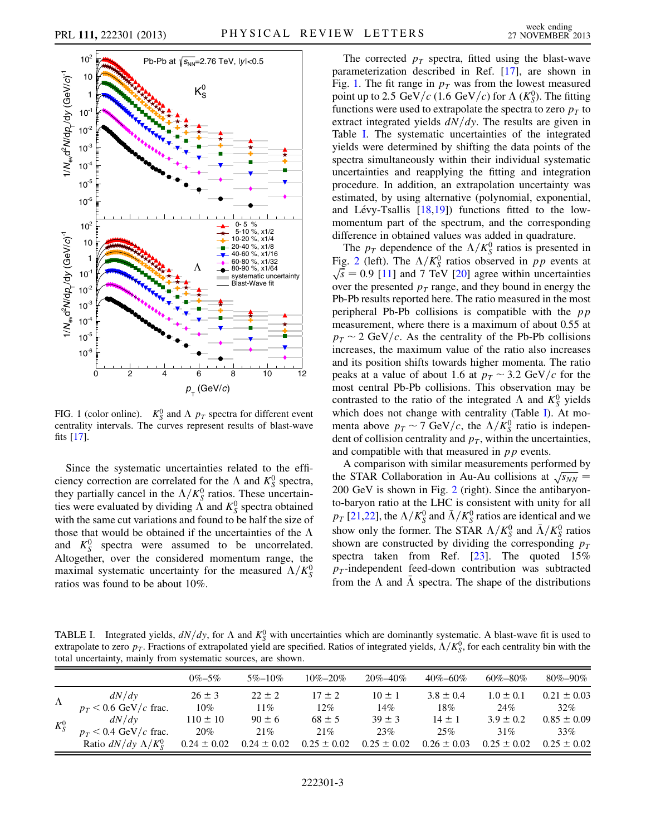<span id="page-2-0"></span>

FIG. 1 (color online).  $K_S^0$  and  $\Lambda$   $p_T$  spectra for different event centrality intervals. The curves represent results of blast-wave fits [[17](#page-4-16)].

Since the systematic uncertainties related to the efficiency correction are correlated for the  $\Lambda$  and  $K_S^0$  spectra, they partially cancel in the  $\Lambda/K_S^0$  ratios. These uncertainties were evaluated by dividing  $\Lambda$  and  $K_S^0$  spectra obtained with the same cut variations and found to be half the size of those that would be obtained if the uncertainties of the  $\Lambda$ and  $K_S^0$  spectra were assumed to be uncorrelated. Altogether, over the considered momentum range, the maximal systematic uncertainty for the measured  $\Lambda/K_S^0$ ratios was found to be about 10%.

The corrected  $p_T$  spectra, fitted using the blast-wave parameterization described in Ref. [\[17\]](#page-4-16), are shown in Fig. [1.](#page-2-0) The fit range in  $p<sub>T</sub>$  was from the lowest measured point up to 2.5 GeV/c (1.6 GeV/c) for  $\Lambda$  (K<sup>0</sup><sub>S</sub>). The fitting functions were used to extrapolate the spectra to zero  $p<sub>T</sub>$  to extract integrated yields  $dN/dy$ . The results are given in Table [I](#page-2-1). The systematic uncertainties of the integrated yields were determined by shifting the data points of the spectra simultaneously within their individual systematic uncertainties and reapplying the fitting and integration procedure. In addition, an extrapolation uncertainty was estimated, by using alternative (polynomial, exponential, and Lévy-Tsallis  $[18,19]$  $[18,19]$  $[18,19]$  $[18,19]$  $[18,19]$ ) functions fitted to the lowmomentum part of the spectrum, and the corresponding difference in obtained values was added in quadrature.

The  $p_T$  dependence of the  $\Lambda/K_S^0$  ratios is presented in Fig. [2](#page-3-0) (left). The  $\Lambda/K_S^0$  ratios observed in pp events at  $\sqrt{s}$  = 0.9 [[11](#page-4-10)] and 7 TeV [\[20\]](#page-4-19) agree within uncertainties over the presented  $p_T$  range, and they bound in energy the Pb-Pb results reported here. The ratio measured in the most peripheral Pb-Pb collisions is compatible with the  $pp$ measurement, where there is a maximum of about 0.55 at  $p_T \sim 2$  GeV/c. As the centrality of the Pb-Pb collisions increases, the maximum value of the ratio also increases and its position shifts towards higher momenta. The ratio peaks at a value of about 1.6 at  $p<sub>T</sub> \sim 3.2 \text{ GeV}/c$  for the most central Pb-Pb collisions. This observation may be contrasted to the ratio of the integrated  $\Lambda$  and  $K_S^0$  yields which does not change with centrality (Table [I\)](#page-2-1). At momenta above  $p_T \sim 7 \text{ GeV}/c$ , the  $\Lambda/K_S^0$  ratio is independent of collision centrality and  $p<sub>T</sub>$ , within the uncertainties, and compatible with that measured in  $pp$  events.

A comparison with similar measurements performed by A comparison with similar measurements performed by<br>the STAR Collaboration in Au-Au collisions at  $\sqrt{s_{NN}}$ 200 GeV is shown in Fig. [2](#page-3-0) (right). Since the antibaryonto-baryon ratio at the LHC is consistent with unity for all  $p_T$  [\[21](#page-4-20)[,22\]](#page-4-21), the  $\Lambda/K_S^0$  and  $\bar{\Lambda}/K_S^0$  ratios are identical and we show only the former. The STAR  $\Lambda/K_S^0$  and  $\bar{\Lambda}/K_S^0$  ratios shown are constructed by dividing the corresponding  $p_T$ spectra taken from Ref. [\[23\]](#page-4-22). The quoted 15%  $p_T$ -independent feed-down contribution was subtracted from the  $\Lambda$  and  $\bar{\Lambda}$  spectra. The shape of the distributions

<span id="page-2-1"></span>TABLE I. Integrated yields,  $dN/dy$ , for  $\Lambda$  and  $K_S^0$  with uncertainties which are dominantly systematic. A blast-wave fit is used to extrapolate to zero  $p_T$ . Fractions of extrapolated yield are specified. Ratios of integrated yields,  $\Lambda/K_S^0$ , for each centrality bin with the total uncertainty, mainly from systematic sources, are shown.

|           |                             | $0\% - 5\%$     | $5\% - 10\%$    | $10\% - 20\%$   | $20\% - 40\%$   | $40\% - 60\%$   | $60\% - 80\%$   | $80\% - 90\%$   |
|-----------|-----------------------------|-----------------|-----------------|-----------------|-----------------|-----------------|-----------------|-----------------|
| $\Lambda$ | dN/dy                       | $26 \pm 3$      | $22 \pm 2$      | $17 \pm 2$      | $10 \pm 1$      | $3.8 \pm 0.4$   | $1.0 \pm 0.1$   | $0.21 \pm 0.03$ |
|           | $p_T < 0.6$ GeV/c frac.     | $10\%$          | $11\%$          | $12\%$          | 14%             | 18%             | 24%             | 32%             |
| $K_S^0$   | dN/dy                       | $110 \pm 10$    | $90 \pm 6$      | $68 \pm 5$      | $39 \pm 3$      | $14 + 1$        | $3.9 \pm 0.2$   | $0.85 \pm 0.09$ |
|           | $p_T < 0.4$ GeV/c frac.     | 20%             | 21%             | 21%             | 23%             | 25%             | 31%             | 33%             |
|           | Ratio $dN/dy \Lambda/K_s^0$ | $0.24 \pm 0.02$ | $0.24 \pm 0.02$ | $0.25 \pm 0.02$ | $0.25 \pm 0.02$ | $0.26 \pm 0.03$ | $0.25 \pm 0.02$ | $0.25 \pm 0.02$ |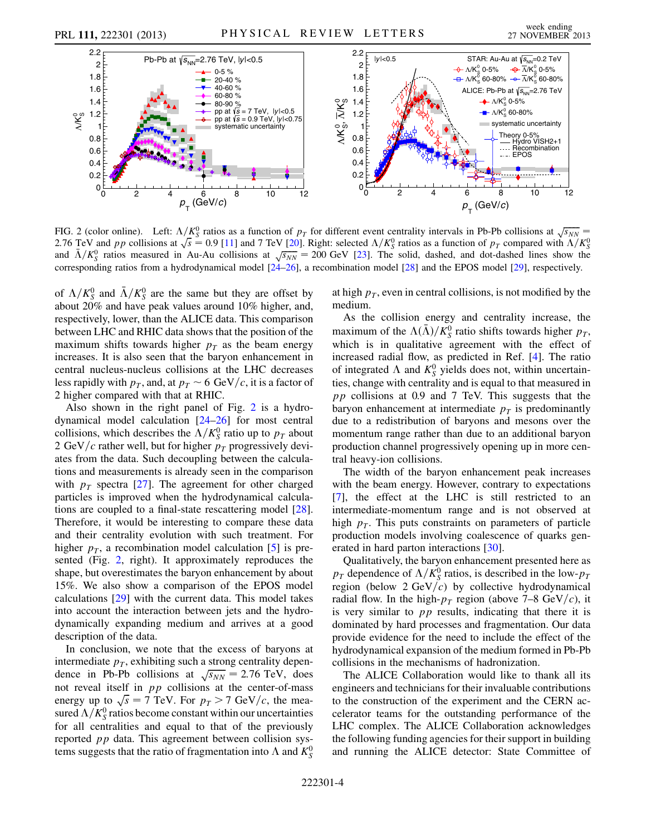<span id="page-3-0"></span>

FIG. 2 (color online). Left:  $\Lambda/K_S^0$  ratios as a function of  $p_T$  for different event centrality intervals in Pb-Pb collisions at  $\sqrt{s_{NN}}$ FIG. 2 (color online). Lett:  $\Lambda/K_S^c$  ratios as a function of  $p_T$  for different event centrality intervals in Pb-Pb collisions at  $\sqrt{s_{NN}}$  = 0.9 [[11](#page-4-10)] and 7 TeV [\[20\]](#page-4-19). Right: selected  $\Lambda/K_S^0$  ratios as a function of  $p_T$  2.76 TeV and p p collisions at  $\sqrt{s} = 0.9$  [11] and 7 TeV [20]. Kight: selected  $\Lambda/\Lambda_5^8$  ratios as a function of  $p_T$  compared with  $\Lambda/\Lambda_5^8$  and  $\bar{\Lambda}/K_5^0$  ratios measured in Au-Au collisions at  $\sqrt{s_{NN}} = 200$  GeV [2 corresponding ratios from a hydrodynamical model [[24](#page-4-23)–[26](#page-4-24)], a recombination model [\[28\]](#page-4-26) and the EPOS model [\[29\]](#page-4-27), respectively.

of  $\Lambda/K_S^0$  and  $\bar{\Lambda}/K_S^0$  are the same but they are offset by about 20% and have peak values around 10% higher, and, respectively, lower, than the ALICE data. This comparison between LHC and RHIC data shows that the position of the maximum shifts towards higher  $p<sub>T</sub>$  as the beam energy increases. It is also seen that the baryon enhancement in central nucleus-nucleus collisions at the LHC decreases less rapidly with  $p<sub>T</sub>$ , and, at  $p<sub>T</sub> \sim 6 \text{ GeV}/c$ , it is a factor of 2 higher compared with that at RHIC.

Also shown in the right panel of Fig. [2](#page-3-0) is a hydrodynamical model calculation [[24](#page-4-23)–[26](#page-4-24)] for most central collisions, which describes the  $\Lambda/K_S^0$  ratio up to  $p_T$  about 2 GeV/c rather well, but for higher  $p_T$  progressively deviates from the data. Such decoupling between the calculations and measurements is already seen in the comparison with  $p_T$  spectra [[27](#page-4-25)]. The agreement for other charged particles is improved when the hydrodynamical calculations are coupled to a final-state rescattering model [\[28\]](#page-4-26). Therefore, it would be interesting to compare these data and their centrality evolution with such treatment. For higher  $p<sub>T</sub>$ , a recombination model calculation [[5](#page-4-4)] is presented (Fig. [2](#page-3-0), right). It approximately reproduces the shape, but overestimates the baryon enhancement by about 15%. We also show a comparison of the EPOS model calculations [\[29\]](#page-4-27) with the current data. This model takes into account the interaction between jets and the hydrodynamically expanding medium and arrives at a good description of the data.

In conclusion, we note that the excess of baryons at intermediate  $p<sub>T</sub>$ , exhibiting such a strong centrality depenintermediate  $p_T$ , exhibiting such a strong centrality dependence in Pb-Pb collisions at  $\sqrt{s_{NN}} = 2.76 \text{ TeV}$ , does not reveal itself in  $pp$  collisions at the center-of-mass not reveal itself in *pp* collisions at the center-of-mass<br>energy up to  $\sqrt{s} = 7$  TeV. For  $p_T > 7$  GeV/c, the measured  $\Lambda/K_S^0$  ratios become constant within our uncertainties for all centralities and equal to that of the previously reported pp data. This agreement between collision systems suggests that the ratio of fragmentation into  $\Lambda$  and  $K^0_S$ 

at high  $p<sub>T</sub>$ , even in central collisions, is not modified by the medium.

As the collision energy and centrality increase, the maximum of the  $\Lambda(\bar{\Lambda})/K_S^0$  ratio shifts towards higher  $p_T$ , which is in qualitative agreement with the effect of increased radial flow, as predicted in Ref. [[4](#page-4-3)]. The ratio of integrated  $\Lambda$  and  $K_S^0$  yields does not, within uncertainties, change with centrality and is equal to that measured in pp collisions at 0.9 and 7 TeV. This suggests that the baryon enhancement at intermediate  $p<sub>T</sub>$  is predominantly due to a redistribution of baryons and mesons over the momentum range rather than due to an additional baryon production channel progressively opening up in more central heavy-ion collisions.

The width of the baryon enhancement peak increases with the beam energy. However, contrary to expectations [\[7\]](#page-4-6), the effect at the LHC is still restricted to an intermediate-momentum range and is not observed at high  $p<sub>T</sub>$ . This puts constraints on parameters of particle production models involving coalescence of quarks generated in hard parton interactions [[30](#page-4-28)].

Qualitatively, the baryon enhancement presented here as  $p_T$  dependence of  $\Lambda/K_S^0$  ratios, is described in the low- $p_T$ region (below  $2 \text{ GeV}/c$ ) by collective hydrodynamical radial flow. In the high- $p<sub>T</sub>$  region (above 7–8 GeV/c), it is very similar to  $pp$  results, indicating that there it is dominated by hard processes and fragmentation. Our data provide evidence for the need to include the effect of the hydrodynamical expansion of the medium formed in Pb-Pb collisions in the mechanisms of hadronization.

The ALICE Collaboration would like to thank all its engineers and technicians for their invaluable contributions to the construction of the experiment and the CERN accelerator teams for the outstanding performance of the LHC complex. The ALICE Collaboration acknowledges the following funding agencies for their support in building and running the ALICE detector: State Committee of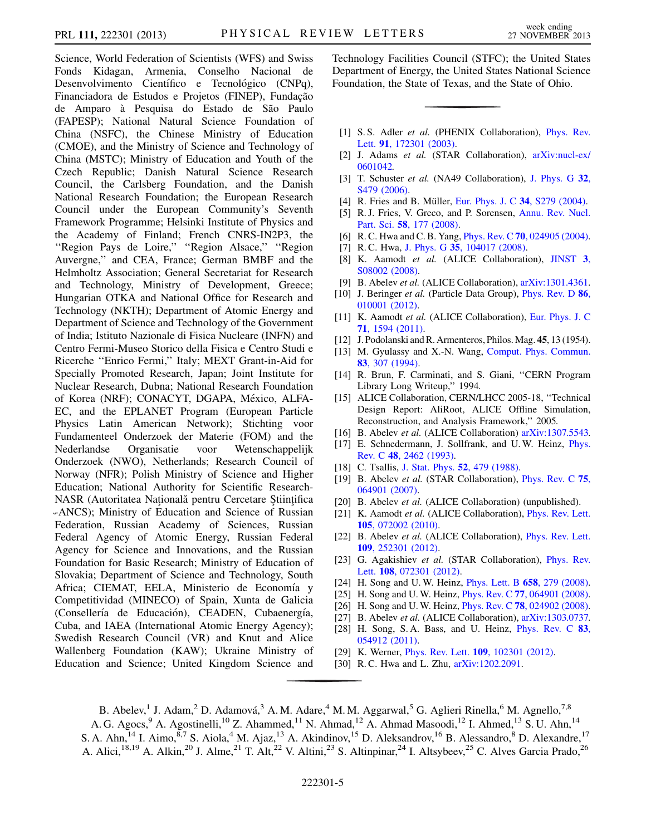Science, World Federation of Scientists (WFS) and Swiss Fonds Kidagan, Armenia, Conselho Nacional de Desenvolvimento Científico e Tecnológico (CNPq), Financiadora de Estudos e Projetos (FINEP), Fundação de Amparo à Pesquisa do Estado de São Paulo (FAPESP); National Natural Science Foundation of China (NSFC), the Chinese Ministry of Education (CMOE), and the Ministry of Science and Technology of China (MSTC); Ministry of Education and Youth of the Czech Republic; Danish Natural Science Research Council, the Carlsberg Foundation, and the Danish National Research Foundation; the European Research Council under the European Community's Seventh Framework Programme; Helsinki Institute of Physics and the Academy of Finland; French CNRS-IN2P3, the ''Region Pays de Loire,'' ''Region Alsace,'' ''Region Auvergne,'' and CEA, France; German BMBF and the Helmholtz Association; General Secretariat for Research and Technology, Ministry of Development, Greece; Hungarian OTKA and National Office for Research and Technology (NKTH); Department of Atomic Energy and Department of Science and Technology of the Government of India; Istituto Nazionale di Fisica Nucleare (INFN) and Centro Fermi-Museo Storico della Fisica e Centro Studi e Ricerche ''Enrico Fermi,'' Italy; MEXT Grant-in-Aid for Specially Promoted Research, Japan; Joint Institute for Nuclear Research, Dubna; National Research Foundation of Korea (NRF); CONACYT, DGAPA, México, ALFA-EC, and the EPLANET Program (European Particle Physics Latin American Network); Stichting voor Fundamenteel Onderzoek der Materie (FOM) and the Nederlandse Organisatie voor Wetenschappelijk Onderzoek (NWO), Netherlands; Research Council of Norway (NFR); Polish Ministry of Science and Higher Education; National Authority for Scientific Research-NASR (Autoritatea Natională pentru Cercetare Stiințifica ˘ -ANCS); Ministry of Education and Science of Russian Federation, Russian Academy of Sciences, Russian Federal Agency of Atomic Energy, Russian Federal Agency for Science and Innovations, and the Russian Foundation for Basic Research; Ministry of Education of Slovakia; Department of Science and Technology, South Africa; CIEMAT, EELA, Ministerio de Economía y Competitividad (MINECO) of Spain, Xunta de Galicia (Consellería de Educación), CEADEN, Cubaenergía, Cuba, and IAEA (International Atomic Energy Agency); Swedish Research Council (VR) and Knut and Alice Wallenberg Foundation (KAW); Ukraine Ministry of Education and Science; United Kingdom Science and

Technology Facilities Council (STFC); the United States Department of Energy, the United States National Science Foundation, the State of Texas, and the State of Ohio.

- <span id="page-4-0"></span>[1] S. S. Adler et al. (PHENIX Collaboration), [Phys. Rev.](http://dx.doi.org/10.1103/PhysRevLett.91.172301) Lett. 91[, 172301 \(2003\)](http://dx.doi.org/10.1103/PhysRevLett.91.172301).
- <span id="page-4-1"></span>[2] J. Adams et al. (STAR Collaboration), [arXiv:nucl-ex/](http://arXiv.org/abs/nucl-ex/0601042) [0601042.](http://arXiv.org/abs/nucl-ex/0601042)
- <span id="page-4-2"></span>[3] T. Schuster et al. (NA49 Collaboration), [J. Phys. G](http://dx.doi.org/10.1088/0954-3899/32/12/S60) 32, [S479 \(2006\).](http://dx.doi.org/10.1088/0954-3899/32/12/S60)
- <span id="page-4-4"></span><span id="page-4-3"></span>[4] R. Fries and B. Müller, [Eur. Phys. J. C](http://dx.doi.org/10.1140/epjcd/s2004-04-026-6) 34, S279 (2004).
- [5] R. J. Fries, V. Greco, and P. Sorensen, [Annu. Rev. Nucl.](http://dx.doi.org/10.1146/annurev.nucl.58.110707.171134) Part. Sci. 58[, 177 \(2008\)](http://dx.doi.org/10.1146/annurev.nucl.58.110707.171134).
- <span id="page-4-6"></span><span id="page-4-5"></span>[6] R. C. Hwa and C. B. Yang, Phys. Rev. C 70[, 024905 \(2004\).](http://dx.doi.org/10.1103/PhysRevC.70.024905)
- <span id="page-4-7"></span>[7] R. C. Hwa, J. Phys. G 35[, 104017 \(2008\)](http://dx.doi.org/10.1088/0954-3899/35/10/104017).
- [8] K. Aamodt et al. (ALICE Collaboration), [JINST](http://dx.doi.org/10.1088/1748-0221/3/08/S08002) 3, [S08002 \(2008\).](http://dx.doi.org/10.1088/1748-0221/3/08/S08002)
- <span id="page-4-9"></span><span id="page-4-8"></span>[9] B. Abelev et al. (ALICE Collaboration), [arXiv:1301.4361.](http://arXiv.org/abs/1301.4361)
- [10] J. Beringer et al. (Particle Data Group), *[Phys. Rev. D](http://dx.doi.org/10.1103/PhysRevD.86.010001)* 86, [010001 \(2012\).](http://dx.doi.org/10.1103/PhysRevD.86.010001)
- <span id="page-4-10"></span>[11] K. Aamodt et al. (ALICE Collaboration), [Eur. Phys. J. C](http://dx.doi.org/10.1140/epjc/s10052-011-1594-5). 71[, 1594 \(2011\).](http://dx.doi.org/10.1140/epjc/s10052-011-1594-5)
- <span id="page-4-12"></span><span id="page-4-11"></span>[12] J. Podolanski and R. Armenteros, Philos. Mag. 45, 13 (1954).
- [13] M. Gyulassy and X.-N. Wang, [Comput. Phys. Commun.](http://dx.doi.org/10.1016/0010-4655(94)90057-4) 83[, 307 \(1994\)](http://dx.doi.org/10.1016/0010-4655(94)90057-4).
- <span id="page-4-13"></span>[14] R. Brun, F. Carminati, and S. Giani, "CERN Program" Library Long Writeup,'' 1994.
- <span id="page-4-14"></span>[15] ALICE Collaboration, CERN/LHCC 2005-18, "Technical Design Report: AliRoot, ALICE Offline Simulation, Reconstruction, and Analysis Framework,'' 2005.
- <span id="page-4-16"></span><span id="page-4-15"></span>[16] B. Abelev et al. (ALICE Collaboration) [arXiv:1307.5543.](http://arXiv.org/abs/1307.5543)
- [17] E. Schnedermann, J. Sollfrank, and U.W. Heinz, *[Phys.](http://dx.doi.org/10.1103/PhysRevC.48.2462)* Rev. C 48[, 2462 \(1993\)](http://dx.doi.org/10.1103/PhysRevC.48.2462).
- <span id="page-4-18"></span><span id="page-4-17"></span>[18] C. Tsallis, [J. Stat. Phys.](http://dx.doi.org/10.1007/BF01016429) **52**, 479 (1988).
- [19] B. Abelev et al. (STAR Collaboration), *[Phys. Rev. C](http://dx.doi.org/10.1103/PhysRevC.75.064901)* 75, [064901 \(2007\).](http://dx.doi.org/10.1103/PhysRevC.75.064901)
- <span id="page-4-20"></span><span id="page-4-19"></span>[20] B. Abelev et al. (ALICE Collaboration) (unpublished).
- [21] K. Aamodt et al. (ALICE Collaboration), *[Phys. Rev. Lett.](http://dx.doi.org/10.1103/PhysRevLett.105.072002)* 105[, 072002 \(2010\)](http://dx.doi.org/10.1103/PhysRevLett.105.072002).
- <span id="page-4-21"></span>[22] B. Abelev et al. (ALICE Collaboration), *[Phys. Rev. Lett.](http://dx.doi.org/10.1103/PhysRevLett.109.252301)* 109[, 252301 \(2012\)](http://dx.doi.org/10.1103/PhysRevLett.109.252301).
- <span id="page-4-22"></span>[23] G. Agakishiev et al. (STAR Collaboration), [Phys. Rev.](http://dx.doi.org/10.1103/PhysRevLett.108.072301) Lett. 108[, 072301 \(2012\).](http://dx.doi.org/10.1103/PhysRevLett.108.072301)
- <span id="page-4-23"></span>[24] H. Song and U.W. Heinz, *[Phys. Lett. B](http://dx.doi.org/10.1016/j.physletb.2007.11.019)* **658**, 279 (2008).
- <span id="page-4-24"></span>[25] H. Song and U. W. Heinz, *Phys. Rev. C* 77[, 064901 \(2008\).](http://dx.doi.org/10.1103/PhysRevC.77.064901)
- <span id="page-4-25"></span>[26] H. Song and U. W. Heinz, *Phys. Rev. C* **78**[, 024902 \(2008\).](http://dx.doi.org/10.1103/PhysRevC.78.024902)
- <span id="page-4-26"></span>[27] B. Abelev et al. (ALICE Collaboration), [arXiv:1303.0737.](http://arXiv.org/abs/1303.0737)
- [28] H. Song, S.A. Bass, and U. Heinz, *[Phys. Rev. C](http://dx.doi.org/10.1103/PhysRevC.83.054912)* 83, [054912 \(2011\).](http://dx.doi.org/10.1103/PhysRevC.83.054912)
- <span id="page-4-28"></span><span id="page-4-27"></span>[29] K. Werner, *Phys. Rev. Lett.* **109**[, 102301 \(2012\).](http://dx.doi.org/10.1103/PhysRevLett.109.102301)
- [30] R. C. Hwa and L. Zhu,  $arXiv:1202.2091$ .

B. Abelev,<sup>1</sup> J. Adam,<sup>2</sup> D. Adamová,<sup>3</sup> A.M. Adare,<sup>4</sup> M.M. Aggarwal,<sup>5</sup> G. Aglieri Rinella,<sup>6</sup> M. Agnello,<sup>7,8</sup> A. G. Agocs,<sup>9</sup> A. Agostinelli,<sup>10</sup> Z. Ahammed,<sup>11</sup> N. Ahmad,<sup>12</sup> A. Ahmad Masoodi,<sup>12</sup> I. Ahmed,<sup>13</sup> S. U. Ahn,<sup>14</sup>

S. A. Ahn,<sup>14</sup> I. Aimo,<sup>8,7</sup> S. Aiola,<sup>4</sup> M. Ajaz,<sup>13</sup> A. Akindinov,<sup>15</sup> D. Aleksandrov,<sup>16</sup> B. Alessandro,<sup>8</sup> D. Alexandre,<sup>17</sup> A. Alici,<sup>18,19</sup> A. Alkin,<sup>20</sup> J. Alme,<sup>21</sup> T. Alt,<sup>22</sup> V. Altini,<sup>23</sup> S. Altinpinar,<sup>24</sup> I. Altsybeev,<sup>25</sup> C. Alves Garcia Prado,<sup>26</sup>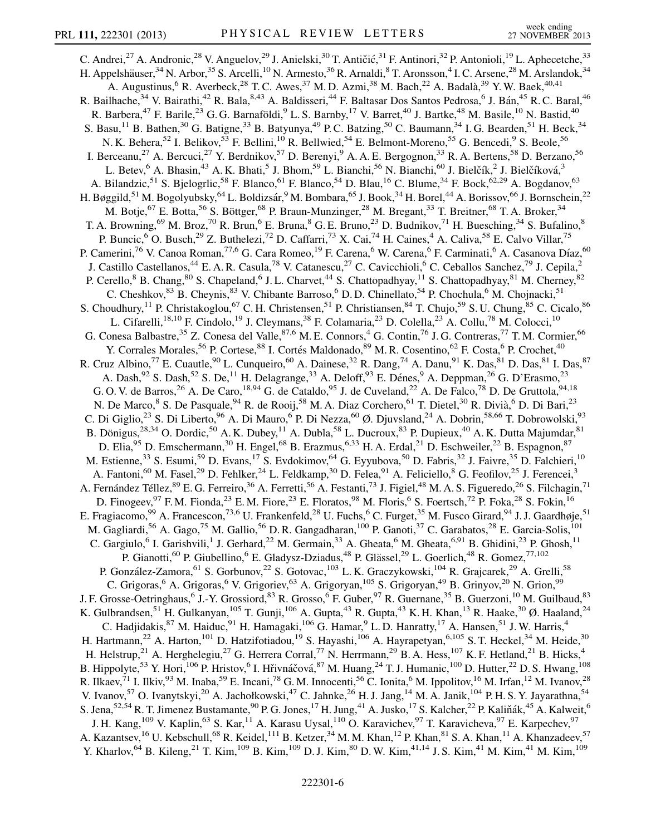C. Andrei,<sup>27</sup> A. Andronic,<sup>28</sup> V. Anguelov,<sup>29</sup> J. Anielski,<sup>30</sup> T. Antičić,<sup>31</sup> F. Antinori,<sup>32</sup> P. Antonioli,<sup>19</sup> L. Aphecetche,<sup>33</sup> H. Appelshäuser,<sup>34</sup> N. Arbor,<sup>35</sup> S. Arcelli,<sup>10</sup> N. Armesto,<sup>36</sup> R. Arnaldi,<sup>8</sup> T. Aronsson,<sup>4</sup> I. C. Arsene,<sup>28</sup> M. Arslandok,<sup>34</sup> A. Augustinus, <sup>6</sup> R. Averbeck, <sup>28</sup> T. C. Awes, <sup>37</sup> M. D. Azmi, <sup>38</sup> M. Bach, <sup>22</sup> A. Badalà, <sup>39</sup> Y. W. Baek, <sup>40,41</sup> R. Bailhache,<sup>34</sup> V. Bairathi,<sup>42</sup> R. Bala,<sup>8,43</sup> A. Baldisseri,<sup>44</sup> F. Baltasar Dos Santos Pedrosa,<sup>6</sup> J. Bán,<sup>45</sup> R. C. Baral,<sup>46</sup> R. Barbera,<sup>47</sup> F. Barile,<sup>23</sup> G. G. Barnaföldi,<sup>9</sup> L. S. Barnby,<sup>17</sup> V. Barret,<sup>40</sup> J. Bartke,<sup>48</sup> M. Basile,<sup>10</sup> N. Bastid,<sup>40</sup> S. Basu,<sup>11</sup> B. Bathen,<sup>30</sup> G. Batigne,<sup>33</sup> B. Batyunya,<sup>49</sup> P.C. Batzing,<sup>50</sup> C. Baumann,<sup>34</sup> I. G. Bearden,<sup>51</sup> H. Beck,<sup>34</sup> N. K. Behera,<sup>52</sup> I. Belikov,<sup>53</sup> F. Bellini,<sup>10</sup> R. Bellwied,<sup>54</sup> E. Belmont-Moreno,<sup>55</sup> G. Bencedi,<sup>9</sup> S. Beole,<sup>56</sup> I. Berceanu,<sup>27</sup> A. Bercuci,<sup>27</sup> Y. Berdnikov,<sup>57</sup> D. Berenyi,<sup>9</sup> A. A. E. Bergognon,<sup>33</sup> R. A. Bertens,<sup>58</sup> D. Berzano,<sup>56</sup> L. Betev, <sup>6</sup> A. Bhasin, <sup>43</sup> A. K. Bhati, 5 J. Bhom, 59 L. Bianchi, 56 N. Bianchi, <sup>60</sup> J. Bielčík, <sup>2</sup> J. Bielčíková, <sup>3</sup> A. Bilandzic,<sup>51</sup> S. Bjelogrlic,<sup>58</sup> F. Blanco,<sup>61</sup> F. Blanco,<sup>54</sup> D. Blau,<sup>16</sup> C. Blume,<sup>34</sup> F. Bock,<sup>62,29</sup> A. Bogdanov,<sup>63</sup> H. Bøggild,<sup>51</sup> M. Bogolyubsky,<sup>64</sup> L. Boldizsár,<sup>9</sup> M. Bombara,<sup>65</sup> J. Book,<sup>34</sup> H. Borel,<sup>44</sup> A. Borissov,<sup>66</sup> J. Bornschein,<sup>22</sup> M. Botje,<sup>67</sup> E. Botta,<sup>56</sup> S. Böttger,<sup>68</sup> P. Braun-Munzinger,<sup>28</sup> M. Bregant,<sup>33</sup> T. Breitner,<sup>68</sup> T. A. Broker,<sup>34</sup> T. A. Browning, <sup>69</sup> M. Broz, <sup>70</sup> R. Brun, <sup>6</sup> E. Bruna, <sup>8</sup> G. E. Bruno, <sup>23</sup> D. Budnikov, <sup>71</sup> H. Buesching, <sup>34</sup> S. Bufalino, <sup>8</sup> P. Buncic,<sup>6</sup> O. Busch,<sup>29</sup> Z. Buthelezi,<sup>72</sup> D. Caffarri,<sup>73</sup> X. Cai,<sup>74</sup> H. Caines,<sup>4</sup> A. Caliva,<sup>58</sup> E. Calvo Villar,<sup>75</sup> P. Camerini,<sup>76</sup> V. Canoa Roman,<sup>77,6</sup> G. Cara Romeo,<sup>19</sup> F. Carena,<sup>6</sup> W. Carena,<sup>6</sup> F. Carminati,<sup>6</sup> A. Casanova Díaz,<sup>60</sup> J. Castillo Castellanos,<sup>44</sup> E. A. R. Casula,<sup>78</sup> V. Catanescu,<sup>27</sup> C. Cavicchioli,<sup>6</sup> C. Ceballos Sanchez,<sup>79</sup> J. Cepila,<sup>2</sup> P. Cerello,<sup>8</sup> B. Chang,<sup>80</sup> S. Chapeland,<sup>6</sup> J. L. Charvet,<sup>44</sup> S. Chattopadhyay,<sup>11</sup> S. Chattopadhyay,<sup>81</sup> M. Cherney,<sup>82</sup> C. Cheshkov, <sup>83</sup> B. Cheynis, <sup>83</sup> V. Chibante Barroso, <sup>6</sup> D. D. Chinellato, <sup>54</sup> P. Chochula, <sup>6</sup> M. Chojnacki, <sup>51</sup> S. Choudhury,<sup>11</sup> P. Christakoglou,<sup>67</sup> C. H. Christensen,<sup>51</sup> P. Christiansen,<sup>84</sup> T. Chujo,<sup>59</sup> S. U. Chung,<sup>85</sup> C. Cicalo,<sup>86</sup> L. Cifarelli,<sup>18,10</sup> F. Cindolo,<sup>19</sup> J. Cleymans,<sup>38</sup> F. Colamaria,<sup>23</sup> D. Colella,<sup>23</sup> A. Collu,<sup>78</sup> M. Colocci,<sup>10</sup> G. Conesa Balbastre,<sup>35</sup> Z. Conesa del Valle,<sup>87,6</sup> M. E. Connors,<sup>4</sup> G. Contin,<sup>76</sup> J. G. Contreras,<sup>77</sup> T. M. Cormier,<sup>66</sup> Y. Corrales Morales,<sup>56</sup> P. Cortese,<sup>88</sup> I. Cortés Maldonado,<sup>89</sup> M. R. Cosentino,<sup>62</sup> F. Costa,<sup>6</sup> P. Crochet,<sup>40</sup> R. Cruz Albino,<sup>77</sup> E. Cuautle,<sup>90</sup> L. Cunqueiro,<sup>60</sup> A. Dainese,<sup>32</sup> R. Dang,<sup>74</sup> A. Danu,<sup>91</sup> K. Das,<sup>81</sup> D. Das,<sup>81</sup> I. Das,<sup>87</sup> A. Dash,  $92$  S. Dash,  $52$  S. De,  $^{11}$  H. Delagrange,  $^{33}$  A. Deloff,  $^{93}$  E. Dénes,  $^{9}$  A. Deppman,  $^{26}$  G. D'Erasmo,  $^{23}$ G. O. V. de Barros,  $^{26}$  A. De Caro,  $^{18,94}$  G. de Cataldo,  $^{95}$  J. de Cuveland,  $^{22}$  A. De Falco,  $^{78}$  D. De Gruttola,  $^{94,18}$ N. De Marco, <sup>8</sup> S. De Pasquale, <sup>94</sup> R. de Rooij, <sup>58</sup> M. A. Diaz Corchero, <sup>61</sup> T. Dietel, <sup>30</sup> R. Divià, <sup>6</sup> D. Di Bari, <sup>23</sup> C. Di Giglio,<sup>23</sup> S. Di Liberto,<sup>96</sup> A. Di Mauro,<sup>6</sup> P. Di Nezza,<sup>60</sup> Ø. Djuvsland,<sup>24</sup> A. Dobrin,<sup>58,66</sup> T. Dobrowolski,<sup>93</sup> B. Dönigus,<sup>28,34</sup> O. Dordic,<sup>50</sup> A. K. Dubey,<sup>11</sup> A. Dubla,<sup>58</sup> L. Ducroux,<sup>83</sup> P. Dupieux,<sup>40</sup> A. K. Dutta Majumdar,<sup>81</sup> D. Elia,<sup>95</sup> D. Emschermann,<sup>30</sup> H. Engel,<sup>68</sup> B. Erazmus,<sup>6,33</sup> H. A. Erdal,<sup>21</sup> D. Eschweiler,<sup>22</sup> B. Espagnon,<sup>87</sup> M. Estienne,<sup>33</sup> S. Esumi,<sup>59</sup> D. Evans,<sup>17</sup> S. Evdokimov,<sup>64</sup> G. Eyyubova,<sup>50</sup> D. Fabris,<sup>32</sup> J. Faivre,<sup>35</sup> D. Falchieri,<sup>10</sup> A. Fantoni,<sup>60</sup> M. Fasel,<sup>29</sup> D. Fehlker,<sup>24</sup> L. Feldkamp,<sup>30</sup> D. Felea,<sup>91</sup> A. Feliciello,<sup>8</sup> G. Feofilov,<sup>25</sup> J. Ferencei,<sup>3</sup> A. Fernández Téllez, <sup>89</sup> E. G. Ferreiro, <sup>36</sup> A. Ferretti, <sup>56</sup> A. Festanti, <sup>73</sup> J. Figiel, <sup>48</sup> M. A. S. Figueredo, <sup>26</sup> S. Filchagin, <sup>71</sup> D. Finogeev, <sup>97</sup> F.M. Fionda, <sup>23</sup> E.M. Fiore, <sup>23</sup> E. Floratos, <sup>98</sup> M. Floris, <sup>6</sup> S. Foertsch, <sup>72</sup> P. Foka, <sup>28</sup> S. Fokin, <sup>16</sup> E. Fragiacomo,<sup>99</sup> A. Francescon,<sup>73,6</sup> U. Frankenfeld,<sup>28</sup> U. Fuchs,<sup>6</sup> C. Furget,<sup>35</sup> M. Fusco Girard,<sup>94</sup> J. J. Gaardhøje,<sup>51</sup> M. Gagliardi,<sup>56</sup> A. Gago,<sup>75</sup> M. Gallio,<sup>56</sup> D. R. Gangadharan,<sup>100</sup> P. Ganoti,<sup>37</sup> C. Garabatos,<sup>28</sup> E. Garcia-Solis,<sup>101</sup> C. Gargiulo,<sup>6</sup> I. Garishvili,<sup>1</sup> J. Gerhard,<sup>22</sup> M. Germain,<sup>33</sup> A. Gheata,<sup>6</sup> M. Gheata,<sup>6,91</sup> B. Ghidini,<sup>23</sup> P. Ghosh,<sup>11</sup> P. Gianotti,<sup>60</sup> P. Giubellino,<sup>6</sup> E. Gladysz-Dziadus,<sup>48</sup> P. Glässel,<sup>29</sup> L. Goerlich,<sup>48</sup> R. Gomez,<sup>77,102</sup> P. González-Zamora, <sup>61</sup> S. Gorbunov, <sup>22</sup> S. Gotovac, <sup>103</sup> L. K. Graczykowski, <sup>104</sup> R. Grajcarek, <sup>29</sup> A. Grelli, <sup>58</sup> C. Grigoras,<sup>6</sup> A. Grigoras,<sup>6</sup> V. Grigoriev,<sup>63</sup> A. Grigoryan,<sup>105</sup> S. Grigoryan,<sup>49</sup> B. Grinyov,<sup>20</sup> N. Grion,<sup>99</sup> J. F. Grosse-Oetringhaus, <sup>6</sup> J.-Y. Grossiord, <sup>83</sup> R. Grosso, <sup>6</sup> F. Guber, <sup>97</sup> R. Guernane, <sup>35</sup> B. Guerzoni, <sup>10</sup> M. Guilbaud, <sup>83</sup> K. Gulbrandsen, <sup>51</sup> H. Gulkanyan, <sup>105</sup> T. Gunji, <sup>106</sup> A. Gupta, <sup>43</sup> R. Gupta, <sup>43</sup> K. H. Khan, <sup>13</sup> R. Haake, <sup>30</sup> Ø. Haaland, <sup>24</sup> C. Hadjidakis, <sup>87</sup> M. Haiduc, <sup>91</sup> H. Hamagaki, <sup>106</sup> G. Hamar, <sup>9</sup> L. D. Hanratty, <sup>17</sup> A. Hansen, <sup>51</sup> J. W. Harris, <sup>4</sup> H. Hartmann,<sup>22</sup> A. Harton,<sup>101</sup> D. Hatzifotiadou,<sup>19</sup> S. Hayashi,<sup>106</sup> A. Hayrapetyan,<sup>6,105</sup> S. T. Heckel,<sup>34</sup> M. Heide,<sup>30</sup> H. Helstrup,<sup>21</sup> A. Herghelegiu,<sup>27</sup> G. Herrera Corral,<sup>77</sup> N. Herrmann,<sup>29</sup> B. A. Hess,<sup>107</sup> K. F. Hetland,<sup>21</sup> B. Hicks,<sup>4</sup> B. Hippolyte,<sup>53</sup> Y. Hori,<sup>106</sup> P. Hristov,<sup>6</sup> I. Hřivnáčová,<sup>87</sup> M. Huang,<sup>24</sup> T. J. Humanic,<sup>100</sup> D. Hutter,<sup>22</sup> D. S. Hwang,<sup>108</sup> R. Ilkaev,<sup>71</sup> I. Ilkiv,<sup>93</sup> M. Inaba,<sup>59</sup> E. Incani,<sup>78</sup> G. M. Innocenti,<sup>56</sup> C. Ionita,<sup>6</sup> M. Ippolitov,<sup>16</sup> M. Irfan,<sup>12</sup> M. Ivanov,<sup>28</sup> V. Ivanov,<sup>57</sup> O. Ivanytskyi,<sup>20</sup> A. Jachołkowski,<sup>47</sup> C. Jahnke,<sup>26</sup> H. J. Jang,<sup>14</sup> M. A. Janik,<sup>104</sup> P. H. S. Y. Jayarathna,<sup>54</sup> S. Jena,  $52,54$  R. T. Jimenez Bustamante,  $90$  P. G. Jones,  $^{17}$  H. Jung,  $^{41}$  A. Jusko,  $^{17}$  S. Kalcher,  $^{22}$  P. Kaliňák,  $^{45}$  A. Kalweit,  $^{6}$ J. H. Kang, <sup>109</sup> V. Kaplin, <sup>63</sup> S. Kar, <sup>11</sup> A. Karasu Uysal, <sup>110</sup> O. Karavichev, <sup>97</sup> T. Karavicheva, <sup>97</sup> E. Karpechev, <sup>97</sup> A. Kazantsev,<sup>16</sup> U. Kebschull,<sup>68</sup> R. Keidel,<sup>111</sup> B. Ketzer,<sup>34</sup> M. M. Khan,<sup>12</sup> P. Khan,<sup>81</sup> S. A. Khan,<sup>11</sup> A. Khanzadeev,<sup>57</sup> Y. Kharlov,<sup>64</sup> B. Kileng,<sup>21</sup> T. Kim,<sup>109</sup> B. Kim,<sup>109</sup> D. J. Kim,<sup>80</sup> D. W. Kim,<sup>41,14</sup> J. S. Kim,<sup>41</sup> M. Kim,<sup>41</sup> M. Kim,<sup>109</sup>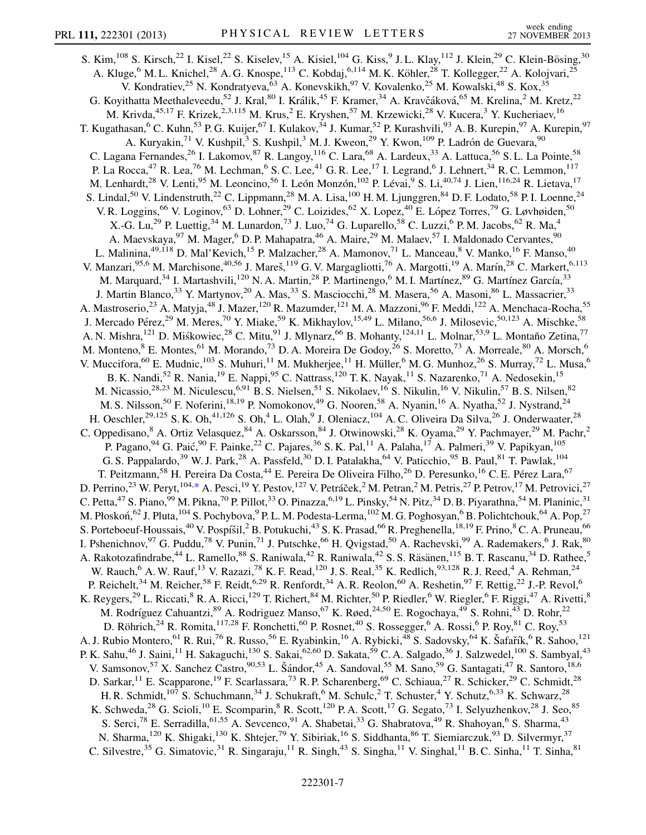<span id="page-6-0"></span>S. Kim,  $^{108}$  S. Kirsch,  $^{22}$  I. Kisel,  $^{22}$  S. Kiselev,  $^{15}$  A. Kisiel,  $^{104}$  G. Kiss,  $^{9}$  J. L. Klay,  $^{112}$  J. Klein,  $^{29}$  C. Klein-Bösing,  $^{30}$ A. Kluge,<sup>6</sup> M. L. Knichel,<sup>28</sup> A. G. Knospe,<sup>113</sup> C. Kobdaj,<sup>6,114</sup> M. K. Köhler,<sup>28</sup> T. Kollegger,<sup>22</sup> A. Kolojvari,<sup>25</sup> V. Kondratiev,<sup>25</sup> N. Kondratyeva,<sup>63</sup> A. Konevskikh,<sup>97</sup> V. Kovalenko,<sup>25</sup> M. Kowalski,<sup>48</sup> S. Kox,<sup>35</sup> G. Koyithatta Meethaleveedu,<sup>52</sup> J. Kral,<sup>80</sup> I. Králik,<sup>45</sup> F. Kramer,<sup>34</sup> A. Kravčáková,<sup>65</sup> M. Krelina,<sup>2</sup> M. Kretz,<sup>22</sup> M. Krivda,<sup>45,17</sup> F. Krizek,<sup>2,3,115</sup> M. Krus,<sup>2</sup> E. Kryshen,<sup>57</sup> M. Krzewicki,<sup>28</sup> V. Kucera,<sup>3</sup> Y. Kucheriaev,<sup>16</sup> T. Kugathasan,<sup>6</sup> C. Kuhn,<sup>53</sup> P. G. Kuijer,<sup>67</sup> I. Kulakov,<sup>34</sup> J. Kumar,<sup>52</sup> P. Kurashvili,<sup>93</sup> A. B. Kurepin,<sup>97</sup> A. Kurepin,<sup>97</sup> A. Kuryakin,<sup>71</sup> V. Kushpil,<sup>3</sup> S. Kushpil,<sup>3</sup> M. J. Kweon,<sup>29</sup> Y. Kwon,<sup>109</sup> P. Ladrón de Guevara,<sup>90</sup> C. Lagana Fernandes,<sup>26</sup> I. Lakomov,<sup>87</sup> R. Langoy,<sup>116</sup> C. Lara,<sup>68</sup> A. Lardeux,<sup>33</sup> A. Lattuca,<sup>56</sup> S. L. La Pointe,<sup>58</sup> P. La Rocca,<sup>47</sup> R. Lea,<sup>76</sup> M. Lechman,<sup>6</sup> S. C. Lee,<sup>41</sup> G. R. Lee,<sup>17</sup> I. Legrand,<sup>6</sup> J. Lehnert,<sup>34</sup> R. C. Lemmon,<sup>117</sup> M. Lenhardt,<sup>28</sup> V. Lenti,<sup>95</sup> M. Leoncino,<sup>56</sup> I. León Monzón,<sup>102</sup> P. Lévai,<sup>9</sup> S. Li,<sup>40,74</sup> J. Lien,<sup>116,24</sup> R. Lietava,<sup>17</sup> S. Lindal,<sup>50</sup> V. Lindenstruth,<sup>22</sup> C. Lippmann,<sup>28</sup> M. A. Lisa,<sup>100</sup> H. M. Ljunggren,<sup>84</sup> D. F. Lodato,<sup>58</sup> P. I. Loenne,<sup>24</sup> V. R. Loggins,<sup>66</sup> V. Loginov,<sup>63</sup> D. Lohner,<sup>29</sup> C. Loizides,<sup>62</sup> X. Lopez,<sup>40</sup> E. López Torres,<sup>79</sup> G. Løvhøiden,<sup>50</sup> X.-G. Lu,<sup>29</sup> P. Luettig,<sup>34</sup> M. Lunardon,<sup>73</sup> J. Luo,<sup>74</sup> G. Luparello,<sup>58</sup> C. Luzzi,<sup>6</sup> P. M. Jacobs,<sup>62</sup> R. Ma,<sup>4</sup> A. Maevskaya,<sup>97</sup> M. Mager,<sup>6</sup> D. P. Mahapatra,<sup>46</sup> A. Maire,<sup>29</sup> M. Malaev,<sup>57</sup> I. Maldonado Cervantes,<sup>90</sup> L. Malinina,<sup>49,118</sup> D. Mal'Kevich,<sup>15</sup> P. Malzacher,<sup>28</sup> A. Mamonov,<sup>71</sup> L. Manceau,<sup>8</sup> V. Manko,<sup>16</sup> F. Manso,<sup>40</sup> V. Manzari,<sup>95,6</sup> M. Marchisone,<sup>40,56</sup> J. Mareš,<sup>119</sup> G. V. Margagliotti,<sup>76</sup> A. Margotti,<sup>19</sup> A. Marín,<sup>28</sup> C. Markert,<sup>6,113</sup> M. Marquard,<sup>34</sup> I. Martashvili,<sup>120</sup> N. A. Martin,<sup>28</sup> P. Martinengo,<sup>6</sup> M. I. Martínez,<sup>89</sup> G. Martínez García,<sup>33</sup> J. Martin Blanco,<sup>33</sup> Y. Martynov,<sup>20</sup> A. Mas,<sup>33</sup> S. Masciocchi,<sup>28</sup> M. Masera,<sup>56</sup> A. Masoni,<sup>86</sup> L. Massacrier,<sup>33</sup> A. Mastroserio,<sup>23</sup> A. Matyja,<sup>48</sup> J. Mazer,<sup>120</sup> R. Mazumder,<sup>121</sup> M. A. Mazzoni,<sup>96</sup> F. Meddi,<sup>122</sup> A. Menchaca-Rocha,<sup>55</sup> J. Mercado Pérez,<sup>29</sup> M. Meres,<sup>70</sup> Y. Miake,<sup>59</sup> K. Mikhaylov,<sup>15,49</sup> L. Milano,<sup>56,6</sup> J. Milosevic,<sup>50,123</sup> A. Mischke,<sup>58</sup> A. N. Mishra,<sup>121</sup> D. Miśkowiec,<sup>28</sup> C. Mitu,<sup>91</sup> J. Mlynarz,<sup>66</sup> B. Mohanty,<sup>124,11</sup> L. Molnar,<sup>53,9</sup> L. Montaño Zetina,<sup>77</sup> M. Monteno, <sup>8</sup> E. Montes, <sup>61</sup> M. Morando, <sup>73</sup> D. A. Moreira De Godoy, <sup>26</sup> S. Moretto, <sup>73</sup> A. Morreale, <sup>80</sup> A. Morsch, <sup>6</sup> V. Muccifora, <sup>60</sup> E. Mudnic, <sup>103</sup> S. Muhuri, <sup>11</sup> M. Mukherjee, <sup>11</sup> H. Müller, <sup>6</sup> M. G. Munhoz, <sup>26</sup> S. Murray, <sup>72</sup> L. Musa, <sup>6</sup> B. K. Nandi,<sup>52</sup> R. Nania,<sup>19</sup> E. Nappi,<sup>95</sup> C. Nattrass,<sup>120</sup> T. K. Nayak,<sup>11</sup> S. Nazarenko,<sup>71</sup> A. Nedosekin,<sup>15</sup> M. Nicassio,<sup>28,23</sup> M. Niculescu,<sup>6,91</sup> B. S. Nielsen,<sup>51</sup> S. Nikolaev,<sup>16</sup> S. Nikulin,<sup>16</sup> V. Nikulin,<sup>57</sup> B. S. Nilsen,<sup>82</sup> M. S. Nilsson,<sup>50</sup> F. Noferini,<sup>18,19</sup> P. Nomokonov,<sup>49</sup> G. Nooren,<sup>58</sup> A. Nyanin,<sup>16</sup> A. Nyatha,<sup>52</sup> J. Nystrand,<sup>24</sup> H. Oeschler,<sup>29,125</sup> S. K. Oh,<sup>41,126</sup> S. Oh,<sup>4</sup> L. Olah,<sup>9</sup> J. Oleniacz,<sup>104</sup> A. C. Oliveira Da Silva,<sup>26</sup> J. Onderwaater,<sup>28</sup> C. Oppedisano,<sup>8</sup> A. Ortiz Velasquez,<sup>84</sup> A. Oskarsson,<sup>84</sup> J. Otwinowski,<sup>28</sup> K. Oyama,<sup>29</sup> Y. Pachmayer,<sup>29</sup> M. Pachr,<sup>2</sup> P. Pagano, <sup>94</sup> G. Paić, <sup>90</sup> F. Painke, <sup>22</sup> C. Pajares, <sup>36</sup> S. K. Pal, <sup>11</sup> A. Palaha, <sup>17</sup> A. Palmeri, <sup>39</sup> V. Papikyan, <sup>105</sup> G. S. Pappalardo,<sup>39</sup> W. J. Park,<sup>28</sup> A. Passfeld,<sup>30</sup> D. I. Patalakha,<sup>64</sup> V. Paticchio,<sup>95</sup> B. Paul,<sup>81</sup> T. Pawlak,<sup>104</sup> T. Peitzmann,<sup>58</sup> H. Pereira Da Costa,<sup>44</sup> E. Pereira De Oliveira Filho,<sup>26</sup> D. Peresunko,<sup>16</sup> C. E. Pérez Lara,<sup>67</sup> D. Perrino,<sup>23</sup> W. Peryt,<sup>104,[\\*](#page-9-0)</sup> A. Pesci,<sup>19</sup> Y. Pestov,<sup>127</sup> V. Petráček,<sup>2</sup> M. Petran,<sup>2</sup> M. Petris,<sup>27</sup> P. Petrov,<sup>17</sup> M. Petrovici,<sup>27</sup> C. Petta, $47$  S. Piano,  $99$  M. Pikna,  $70$  P. Pillot,  $33$  O. Pinazza,  $6,19$  L. Pinsky,  $54$  N. Pitz,  $34$  D. B. Piyarathna,  $54$  M. Planinic,  $31$ M. Płoskoń,<sup>62</sup> J. Pluta, <sup>104</sup> S. Pochybova, <sup>9</sup> P. L. M. Podesta-Lerma, <sup>102</sup> M. G. Poghosyan, <sup>6</sup> B. Polichtchouk, <sup>64</sup> A. Pop, <sup>27</sup> S. Porteboeuf-Houssais,<sup>40</sup> V. Pospíšil,<sup>2</sup> B. Potukuchi,<sup>43</sup> S. K. Prasad,<sup>66</sup> R. Preghenella, <sup>18,19</sup> F. Prino, <sup>8</sup> C. A. Pruneau, <sup>66</sup> I. Pshenichnov, <sup>97</sup> G. Puddu, <sup>78</sup> V. Punin, <sup>71</sup> J. Putschke, <sup>66</sup> H. Qvigstad, <sup>50</sup> A. Rachevski, <sup>99</sup> A. Rademakers, <sup>6</sup> J. Rak, <sup>80</sup> A. Rakotozafindrabe,<sup>44</sup> L. Ramello,<sup>88</sup> S. Raniwala,<sup>42</sup> R. Raniwala,<sup>42</sup> S. S. Räsänen,<sup>115</sup> B. T. Rascanu,<sup>34</sup> D. Rathee,<sup>5</sup> W. Rauch,  $6$  A. W. Rauf,  $^{13}$  V. Razazi,  $^{78}$  K. F. Read,  $^{120}$  J. S. Real,  $^{35}$  K. Redlich,  $^{93,128}$  R. J. Reed,  $^{4}$  A. Rehman,  $^{24}$ P. Reichelt,<sup>34</sup> M. Reicher,<sup>58</sup> F. Reidt,<sup>6,29</sup> R. Renfordt,<sup>34</sup> A. R. Reolon,<sup>60</sup> A. Reshetin,<sup>97</sup> F. Rettig,<sup>22</sup> J.-P. Revol,<sup>6</sup> K. Reygers,<sup>29</sup> L. Riccati,<sup>8</sup> R. A. Ricci,<sup>129</sup> T. Richert,<sup>84</sup> M. Richter,<sup>50</sup> P. Riedler,<sup>6</sup> W. Riegler,<sup>6</sup> F. Riggi,<sup>47</sup> A. Rivetti,<sup>8</sup> M. Rodríguez Cahuantzi, <sup>89</sup> A. Rodriguez Manso, <sup>67</sup> K. Røed, <sup>24,50</sup> E. Rogochaya, <sup>49</sup> S. Rohni, <sup>43</sup> D. Rohr, <sup>22</sup> D. Röhrich,<sup>24</sup> R. Romita,<sup>117,28</sup> F. Ronchetti,<sup>60</sup> P. Rosnet,<sup>40</sup> S. Rossegger,<sup>6</sup> A. Rossi,<sup>6</sup> P. Roy,<sup>81</sup> C. Roy,<sup>53</sup> A. J. Rubio Montero, <sup>61</sup> R. Rui, <sup>76</sup> R. Russo, <sup>56</sup> E. Ryabinkin, <sup>16</sup> A. Rybicki, <sup>48</sup> S. Sadovsky, <sup>64</sup> K. Šafařík, <sup>6</sup> R. Sahoo, <sup>121</sup> P. K. Sahu,<sup>46</sup> J. Saini,<sup>11</sup> H. Sakaguchi,<sup>130</sup> S. Sakai,<sup>62,60</sup> D. Sakata,<sup>59</sup> C. A. Salgado,<sup>36</sup> J. Salzwedel,<sup>100</sup> S. Sambyal,<sup>43</sup> V. Samsonov,<sup>57</sup> X. Sanchez Castro,<sup>90,53</sup> L. Šándor,<sup>45</sup> A. Sandoval,<sup>55</sup> M. Sano,<sup>59</sup> G. Santagati,<sup>47</sup> R. Santoro,<sup>18,6</sup> D. Sarkar, <sup>11</sup> E. Scapparone, <sup>19</sup> F. Scarlassara, <sup>73</sup> R. P. Scharenberg, <sup>69</sup> C. Schiaua, <sup>27</sup> R. Schicker, <sup>29</sup> C. Schmidt, <sup>28</sup> H. R. Schmidt,<sup>107</sup> S. Schuchmann,<sup>34</sup> J. Schukraft,<sup>6</sup> M. Schulc,<sup>2</sup> T. Schuster,<sup>4</sup> Y. Schutz,<sup>6,33</sup> K. Schwarz,<sup>28</sup> K. Schweda,<sup>28</sup> G. Scioli,<sup>10</sup> E. Scomparin,<sup>8</sup> R. Scott,<sup>120</sup> P. A. Scott,<sup>17</sup> G. Segato,<sup>73</sup> I. Selyuzhenkov,<sup>28</sup> J. Seo,<sup>85</sup> S. Serci,<sup>78</sup> E. Serradilla,<sup>61,55</sup> A. Sevcenco,<sup>91</sup> A. Shabetai,<sup>33</sup> G. Shabratova,<sup>49</sup> R. Shahoyan,<sup>6</sup> S. Sharma,<sup>43</sup> N. Sharma,  $120$  K. Shigaki,  $130$  K. Shtejer,  $79$  Y. Sibiriak,  $16$  S. Siddhanta,  $86$  T. Siemiarczuk,  $93$  D. Silvermyr,  $37$ C. Silvestre,<sup>35</sup> G. Simatovic,<sup>31</sup> R. Singaraju,<sup>11</sup> R. Singh,<sup>43</sup> S. Singha,<sup>11</sup> V. Singhal,<sup>11</sup> B. C. Sinha,<sup>11</sup> T. Sinha,<sup>81</sup>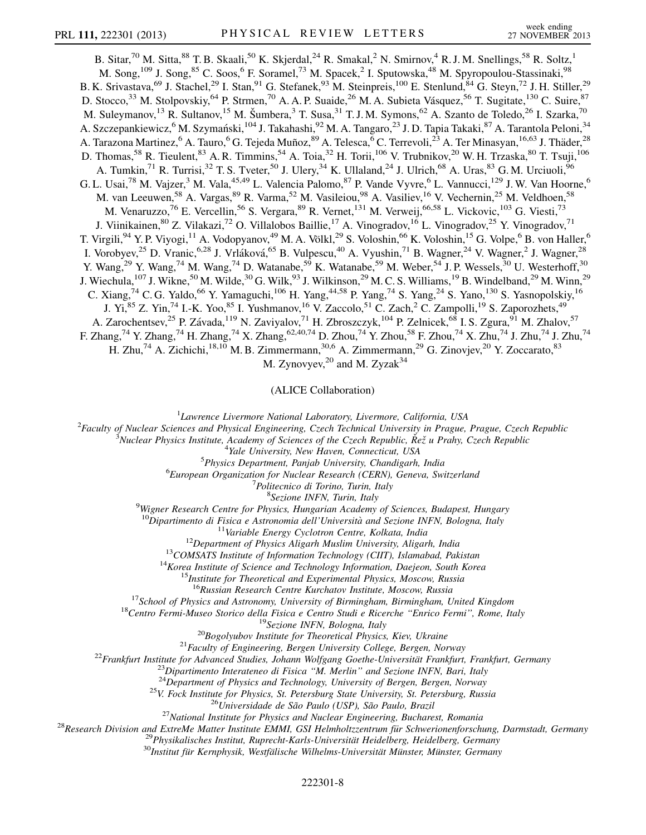B. Sitar,<sup>70</sup> M. Sitta,<sup>88</sup> T. B. Skaali,<sup>50</sup> K. Skjerdal,<sup>24</sup> R. Smakal,<sup>2</sup> N. Smirnov,<sup>4</sup> R. J. M. Snellings,<sup>58</sup> R. Soltz,<sup>1</sup> M. Song,<sup>109</sup> J. Song,<sup>85</sup> C. Soos,<sup>6</sup> F. Soramel,<sup>73</sup> M. Spacek,<sup>2</sup> I. Sputowska,<sup>48</sup> M. Spyropoulou-Stassinaki,<sup>98</sup> B. K. Srivastava,<sup>69</sup> J. Stachel,<sup>29</sup> I. Stan,<sup>91</sup> G. Stefanek,<sup>93</sup> M. Steinpreis,<sup>100</sup> E. Stenlund,<sup>84</sup> G. Steyn,<sup>72</sup> J. H. Stiller,<sup>29</sup> D. Stocco,<sup>33</sup> M. Stolpovskiy,<sup>64</sup> P. Strmen,<sup>70</sup> A. A. P. Suaide,<sup>26</sup> M. A. Subieta Vásquez,<sup>56</sup> T. Sugitate,<sup>130</sup> C. Suire,<sup>87</sup> M. Suleymanov,<sup>13</sup> R. Sultanov,<sup>15</sup> M. Šumbera,<sup>3</sup> T. Susa,<sup>31</sup> T. J. M. Symons,<sup>62</sup> A. Szanto de Toledo,<sup>26</sup> I. Szarka,<sup>70</sup> A. Szczepankiewicz,<sup>6</sup> M. Szymański,<sup>104</sup> J. Takahashi,<sup>92</sup> M. A. Tangaro,<sup>23</sup> J. D. Tapia Takaki,<sup>87</sup> A. Tarantola Peloni,<sup>34</sup> A. Tarazona Martinez,<sup>6</sup> A. Tauro,<sup>6</sup> G. Tejeda Muñoz,<sup>89</sup> A. Telesca,<sup>6</sup> C. Terrevoli,<sup>23</sup> A. Ter Minasyan,<sup>16,63</sup> J. Thäder,<sup>28</sup> D. Thomas,<sup>58</sup> R. Tieulent,<sup>83</sup> A. R. Timmins,<sup>54</sup> A. Toia,<sup>32</sup> H. Torii,<sup>106</sup> V. Trubnikov,<sup>20</sup> W. H. Trzaska,<sup>80</sup> T. Tsuji,<sup>106</sup> A. Tumkin,<sup>71</sup> R. Turrisi,<sup>32</sup> T. S. Tveter,<sup>50</sup> J. Ulery,<sup>34</sup> K. Ullaland,<sup>24</sup> J. Ulrich,<sup>68</sup> A. Uras,<sup>83</sup> G. M. Urciuoli,<sup>96</sup> G. L. Usai,<sup>78</sup> M. Vajzer,<sup>3</sup> M. Vala,<sup>45,49</sup> L. Valencia Palomo,<sup>87</sup> P. Vande Vyvre,<sup>6</sup> L. Vannucci,<sup>129</sup> J. W. Van Hoorne,<sup>6</sup> M. van Leeuwen,<sup>58</sup> A. Vargas,<sup>89</sup> R. Varma,<sup>52</sup> M. Vasileiou,<sup>98</sup> A. Vasiliev,<sup>16</sup> V. Vechernin,<sup>25</sup> M. Veldhoen,<sup>58</sup> M. Venaruzzo,<sup>76</sup> E. Vercellin,<sup>56</sup> S. Vergara,<sup>89</sup> R. Vernet,<sup>131</sup> M. Verweij,<sup>66,58</sup> L. Vickovic,<sup>103</sup> G. Viesti,<sup>73</sup> J. Viinikainen,<sup>80</sup> Z. Vilakazi,<sup>72</sup> O. Villalobos Baillie,<sup>17</sup> A. Vinogradov,<sup>16</sup> L. Vinogradov,<sup>25</sup> Y. Vinogradov,<sup>71</sup> T. Virgili,<sup>94</sup> Y. P. Viyogi,<sup>11</sup> A. Vodopyanov,<sup>49</sup> M. A. Völkl,<sup>29</sup> S. Voloshin,<sup>66</sup> K. Voloshin,<sup>15</sup> G. Volpe,<sup>6</sup> B. von Haller,<sup>6</sup> I. Vorobyev,<sup>25</sup> D. Vranic,<sup>6,28</sup> J. Vrláková,<sup>65</sup> B. Vulpescu,<sup>40</sup> A. Vyushin,<sup>71</sup> B. Wagner,<sup>24</sup> V. Wagner,<sup>2</sup> J. Wagner,<sup>28</sup> Y. Wang,<sup>29</sup> Y. Wang,<sup>74</sup> M. Wang,<sup>74</sup> D. Watanabe,<sup>59</sup> K. Watanabe,<sup>59</sup> M. Weber,<sup>54</sup> J. P. Wessels,<sup>30</sup> U. Westerhoff,<sup>30</sup> J. Wiechula,<sup>107</sup> J. Wikne,<sup>50</sup> M. Wilde,<sup>30</sup> G. Wilk,<sup>93</sup> J. Wilkinson,<sup>29</sup> M. C. S. Williams,<sup>19</sup> B. Windelband,<sup>29</sup> M. Winn,<sup>29</sup> C. Xiang,  $^{74}$  C. G. Yaldo,  $^{66}$  Y. Yamaguchi,  $^{106}$  H. Yang,  $^{44,58}$  P. Yang,  $^{74}$  S. Yang,  $^{24}$  S. Yano,  $^{130}$  S. Yasnopolskiy,  $^{16}$ J. Yi,<sup>85</sup> Z. Yin,<sup>74</sup> I.-K. Yoo,<sup>85</sup> I. Yushmanov,<sup>16</sup> V. Zaccolo,<sup>51</sup> C. Zach,<sup>2</sup> C. Zampolli,<sup>19</sup> S. Zaporozhets,<sup>49</sup> A. Zarochentsev,<sup>25</sup> P. Závada,<sup>119</sup> N. Zaviyalov,<sup>71</sup> H. Zbroszczyk,<sup>104</sup> P. Zelnicek,<sup>68</sup> I. S. Zgura,<sup>91</sup> M. Zhalov,<sup>57</sup> F. Zhang,<sup>74</sup> Y. Zhang,<sup>74</sup> H. Zhang,<sup>74</sup> X. Zhang,<sup>62,40,74</sup> D. Zhou,<sup>74</sup> Y. Zhou,<sup>58</sup> F. Zhou,<sup>74</sup> X. Zhu,<sup>74</sup> J. Zhu,<sup>74</sup> J. Zhu,<sup>74</sup> H. Zhu,<sup>74</sup> A. Zichichi,<sup>18,10</sup> M. B. Zimmermann,<sup>30,6</sup> A. Zimmermann,<sup>29</sup> G. Zinovjev,<sup>20</sup> Y. Zoccarato,<sup>83</sup>

M. Zynovyev, $^{20}$  and M. Zyzak $^{34}$ 

(ALICE Collaboration)

<sup>1</sup>Lawrence Livermore National Laboratory, Livermore, California, USA<br><sup>2</sup>Eaculty of Nuclear Sciences and Physical Engineering, Czech Technical University in Prague

 ${}^{2}$ Faculty of Nuclear Sciences and Physical Engineering, Czech Technical University in Prague, Prague, Czech Republic

Nuclear Physics Institute, Academy of Sciences of the Czech Republic,  $\check{R}e\check{z}$  u Prahy, Czech Republic  $4$ Vale University, New Hayen, Connecticut, USA

<sup>4</sup>Yale University, New Haven, Connecticut, USA<br><sup>5</sup> Physics Denartment, Banjah University, Chandiaarh

 $5$ Physics Department, Panjab University, Chandigarh, India

 ${}^{6}$ European Organization for Nuclear Research (CERN), Geneva, Switzerland

<sup>7</sup>Politecnico di Torino, Turin, Italy<br><sup>8</sup>Sezione INFN, Turin, Italy

<sup>8</sup>Sezione INFN, Turin, Italy<br>Wigner Research Centre for Physics, Hungarian Academy of Sciences, Budapest, Hungary

<sup>10</sup>Dipartimento di Fisica e Astronomia dell'Università and Sezione INFN, Bologna, Italy<br><sup>11</sup>Variable Energy Cyclotron Centre, Kolkata, India<br><sup>12</sup>Department of Physics Aligarh Muslim University, Aligarh, India<br><sup>13</sup>COMSATS

<sup>16</sup>Russian Research Centre Kurchatov Institute, Moscow, Russia<br><sup>17</sup>School of Physics and Astronomy, University of Birmingham, Birmingham, United Kingdom<br><sup>18</sup>Centro Fermi-Museo Storico della Fisica e Centro Studi e Ricerc

<sup>24</sup>Department of Physics and Technology, University of Bergen, Bergen, Norway<br><sup>25</sup>V. Fock Institute for Physics, St. Petersburg State University, St. Petersburg, Russia<br><sup>26</sup>Universidade de São Paulo (USP), São Paulo, Bra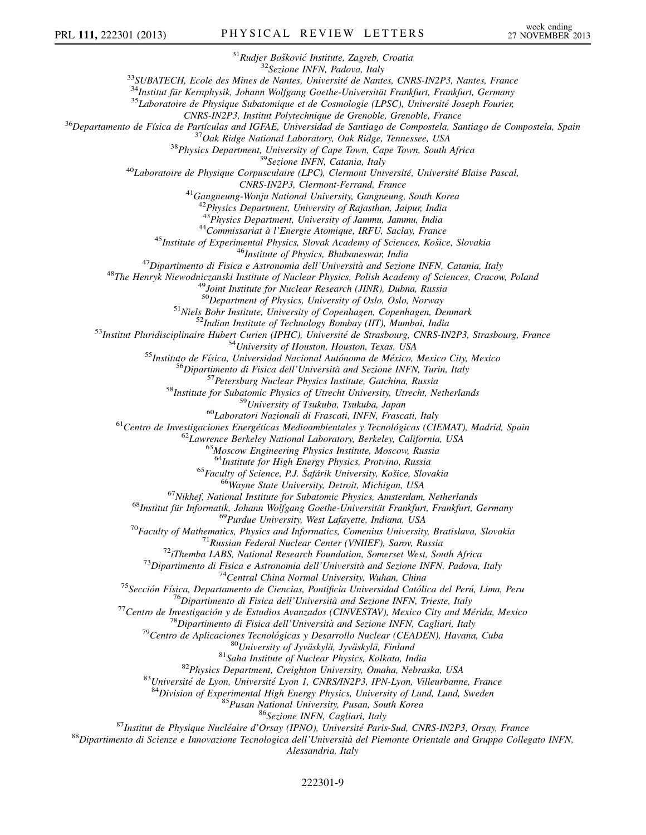<sup>31</sup>Rudjer Bošković Institute, Zagreb, Croatia<br><sup>32</sup>Sezione INFN, Padova, Italy<br><sup>32</sup>Sezione INFN, Padova, Italy<br><sup>34</sup>Institut für Kernphysik, Johann Wolfgang Goethe-Universität Frankfurt, Frankfurt, Germany<br><sup>35</sup>Laboratoire <sup>36</sup>Departamento de Física de Partículas and IGFAE, Universidad de Santiago de Compostela, Santiago de Compostela, Spain<br><sup>37</sup>Oak Ridge National Laboratory, Oak Ridge, Tennessee, USA<br><sup>38</sup>Physics Department, University of C  $^{41}$ Gangneung-Wonju National University, Gangneung, South Korea  $^{42}$ Physics Department, University of Rajasthan, Jaipur, India<br> $^{43}$ Physics Department, University of Jammu, Jammu, India <sup>44</sup>Commissariat à l'Energie Atomique, IRFU, Saclay, France<br><sup>45</sup>Institute of Experimental Physics, Slovak Academy of Sciences, Košice, Slovakia<br><sup>46</sup>Institute of Physics, Bhubaneswar, India<br><sup>47</sup>Dipartimento di Fisica e Ast <sup>50</sup>Department of Physics, University of Oslo, Oslo, Norway<br><sup>51</sup>Niels Bohr Institute, University of Copenhagen, Copenhagen, Denmark<br><sup>52</sup>Natitut Pluridisciplinaire Hubert Curien (IPHC), Université de Strasbourg, CNRS-IN2P3 <sup>65</sup> Fanitus for High Energy Physics, Provino, Russia<br>
<sup>65</sup> Fanitus of Science, P.1. Safjárik University, Košice, Slovakia<br>
<sup>65</sup> Fanitus for Same Studie for Subatomer Physics, Amsterdam, Netherlands<br>
<sup>65</sup> Nikirle, National Alessandria, Italy

## 222301-9